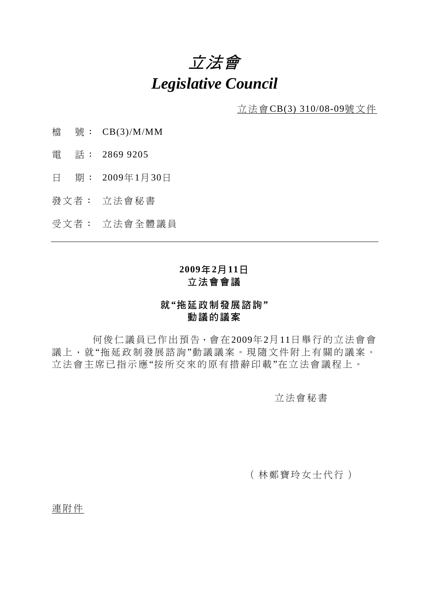# 立法會 *Legislative Council*

立法會CB(3) 310/08-09號文件

- 檔 號: CB(3)/M/MM
- 電 話: 2869 9205
- 日 期: 2009年1月30日
- 發文者: 立法會秘書
- 受文者: 立法會全體議員

## **2009**年**2**月**11**日 立法會會議

#### 就**"**拖延政制發展諮詢**"**  動議的議案

 何俊仁議員已作出預告,會在2009年2月11日舉行的立法會會 議上,就"拖延政制發展諮詢"動議議案。現隨文件附上有關的議案。 立法會主席已指示應"按所交來的原有措辭印載"在立法會議程上。

立法會秘書

(林鄭寶玲女士代行)

連附件